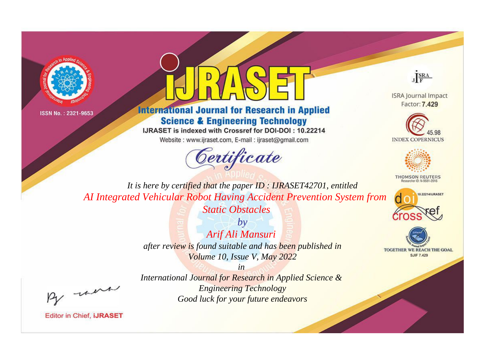



## **International Journal for Research in Applied Science & Engineering Technology**

IJRASET is indexed with Crossref for DOI-DOI: 10.22214

Website: www.ijraset.com, E-mail: ijraset@gmail.com





**ISRA Journal Impact** Factor: 7.429





**THOMSON REUTERS** 



TOGETHER WE REACH THE GOAL **SJIF 7.429** 

*It is here by certified that the paper ID : IJRASET42701, entitled AI Integrated Vehicular Robot Having Accident Prevention System from Static Obstacles*

> *by Arif Ali Mansuri after review is found suitable and has been published in Volume 10, Issue V, May 2022*

*in International Journal for Research in Applied Science & Engineering Technology Good luck for your future endeavors*

, un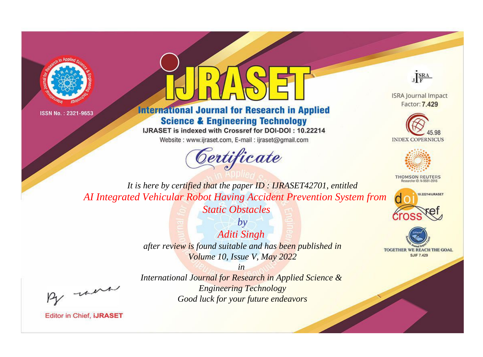



## **International Journal for Research in Applied Science & Engineering Technology**

IJRASET is indexed with Crossref for DOI-DOI: 10.22214

Website: www.ijraset.com, E-mail: ijraset@gmail.com





**ISRA Journal Impact** Factor: 7.429





**THOMSON REUTERS** 



TOGETHER WE REACH THE GOAL **SJIF 7.429** 

*It is here by certified that the paper ID : IJRASET42701, entitled AI Integrated Vehicular Robot Having Accident Prevention System from Static Obstacles*

> *by Aditi Singh after review is found suitable and has been published in*

*Volume 10, Issue V, May 2022*

*in* 

, un

*International Journal for Research in Applied Science & Engineering Technology Good luck for your future endeavors*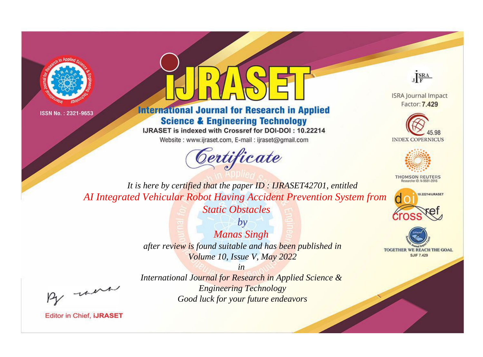



## **International Journal for Research in Applied Science & Engineering Technology**

IJRASET is indexed with Crossref for DOI-DOI: 10.22214

Website: www.ijraset.com, E-mail: ijraset@gmail.com





**ISRA Journal Impact** Factor: 7.429





**THOMSON REUTERS** 



TOGETHER WE REACH THE GOAL **SJIF 7.429** 

*It is here by certified that the paper ID : IJRASET42701, entitled AI Integrated Vehicular Robot Having Accident Prevention System from Static Obstacles*

> *by Manas Singh after review is found suitable and has been published in Volume 10, Issue V, May 2022*

, un

*International Journal for Research in Applied Science & Engineering Technology Good luck for your future endeavors*

*in*